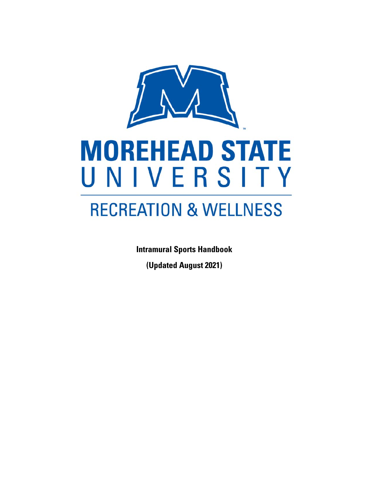

**Intramural Sports Handbook** 

**(Updated August 2021)**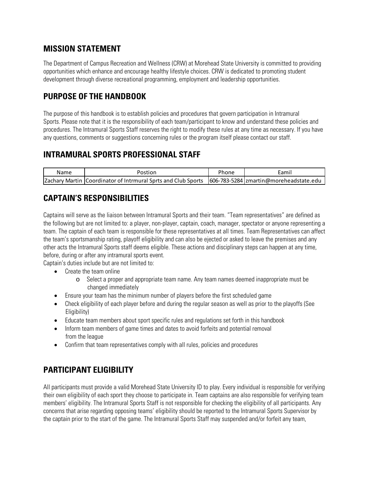### **MISSION STATEMENT**

The Department of Campus Recreation and Wellness (CRW) at Morehead State University is committed to providing opportunities which enhance and encourage healthy lifestyle choices. CRW is dedicated to promoting student development through diverse recreational programming, employment and leadership opportunities.

# **PURPOSE OF THE HANDBOOK**

The purpose of this handbook is to establish policies and procedures that govern participation in Intramural Sports. Please note that it is the responsibility of each team/participant to know and understand these policies and procedures. The Intramural Sports Staff reserves the right to modify these rules at any time as necessary. If you have any questions, comments or suggestions concerning rules or the program itself please contact our staff.

## **INTRAMURAL SPORTS PROFESSIONAL STAFF**

| Name | Postion                                                                                                  | Phone | Eamil |
|------|----------------------------------------------------------------------------------------------------------|-------|-------|
|      | [Zachary Martin] Coordinator of Intrmural Sprts and Club Sports [606-783-5284] zmartin@moreheadstate.edu |       |       |

## **CAPTAIN'S RESPONSIBILITIES**

Captains will serve as the liaison between Intramural Sports and their team. "Team representatives" are defined as the following but are not limited to: a player, non-player, captain, coach, manager, spectator or anyone representing a team. The captain of each team is responsible for these representatives at all times. Team Representatives can affect the team's sportsmanship rating, playoff eligibility and can also be ejected or asked to leave the premises and any other acts the Intramural Sports staff deems eligible. These actions and disciplinary steps can happen at any time, before, during or after any intramural sports event.

Captain's duties include but are not limited to:

- Create the team online
	- o Select a proper and appropriate team name. Any team names deemed inappropriate must be changed immediately
- Ensure your team has the minimum number of players before the first scheduled game
- Check eligibility of each player before and during the regular season as well as prior to the playoffs (See Eligibility)
- Educate team members about sport specific rules and regulations set forth in this handbook
- Inform team members of game times and dates to avoid forfeits and potential removal from the league
- Confirm that team representatives comply with all rules, policies and procedures

## **PARTICIPANT ELIGIBILITY**

All participants must provide a valid Morehead State University ID to play. Every individual is responsible for verifying their own eligibility of each sport they choose to participate in. Team captains are also responsible for verifying team members' eligibility. The Intramural Sports Staff is not responsible for checking the eligibility of all participants. Any concerns that arise regarding opposing teams' eligibility should be reported to the Intramural Sports Supervisor by the captain prior to the start of the game. The Intramural Sports Staff may suspended and/or forfeit any team,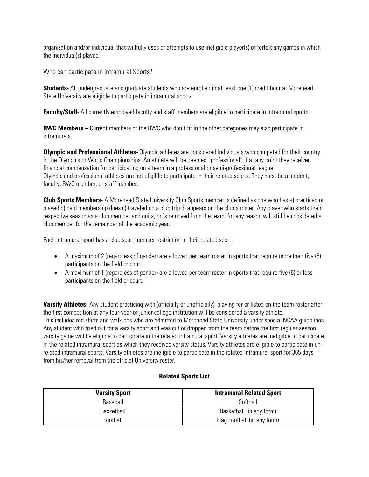organization and/or individual that willfully uses or attempts to use ineligible player(s) or forfeit any games in which the individual(s) played.

Who can participate in Intramural Sports?

**Students**- All undergraduate and graduate students who are enrolled in at least one (1) credit hour at Morehead State University are eligible to participate in intramural sports.

**Faculty/Staff**- All currently employed faculty and staff members are eligible to participate in intramural sports.

**RWC Members –** Current members of the RWC who don't fit in the other categories may also participate in intramurals.

**Olympic and Professional Athletes**- Olympic athletes are considered individuals who competed for their country in the Olympics or World Championships. An athlete will be deemed "professional" if at any point they received financial compensation for participating on a team in a professional or semi-professional league. Olympic and professional athletes are not eligible to participate in their related sports. They must be a student, faculty, RWC member, or staff member.

**Club Sports Members**- A Morehead State University Club Sports member is defined as one who has a) practiced or played b) paid membership dues c) traveled on a club trip d) appears on the club's roster. Any player who starts their respective season as a club member and quits, or is removed from the team, for any reason will still be considered a club member for the remainder of the academic year.

Each intramural sport has a club sport member restriction in their related sport:

- A maximum of 2 (regardless of gender) are allowed per team roster in sports that require more than five (5) participants on the field or court.
- A maximum of 1 (regardless of gender) are allowed per team roster in sports that require five (5) or less participants on the field or court.

**Varsity Athletes**- Any student practicing with (officially or unofficially), playing for or listed on the team roster after the first competition at any four-year or junior college institution will be considered a varsity athlete. This includes red shirts and walk-ons who are admitted to Morehead State University under special NCAA guidelines. Any student who tried out for a varsity sport and was cut or dropped from the team before the first regular season varsity game will be eligible to participate in the related intramural sport. Varsity athletes are ineligible to participate in the related intramural sport as which they received varsity status. Varsity athletes are eligible to participate in unrelated intramural sports. Varsity athletes are ineligible to participate in the related intramural sport for 365 days from his/her removal from the official University roster.

#### **Related Sports List**

| <b>Varsity Sport</b> | <b>Intramural Related Sport</b> |  |
|----------------------|---------------------------------|--|
| Baseball             | Softhall                        |  |
| Basketball           | Basketball (in any form)        |  |
| Football             | Flag Football (in any form)     |  |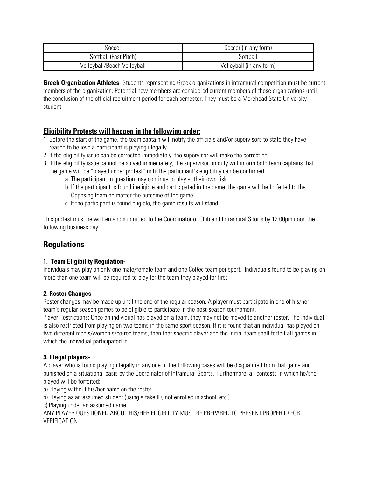| ುoccer                      | Soccer (in any form)     |  |
|-----------------------------|--------------------------|--|
| Softball (Fast Pitch)       | Softball                 |  |
| Volleyball/Beach Volleyball | Volleyball (in any form) |  |

**Greek Organization Athletes**- Students representing Greek organizations in intramural competition must be current members of the organization. Potential new members are considered current members of those organizations until the conclusion of the official recruitment period for each semester. They must be a Morehead State University student.

#### **Eligibility Protests will happen in the following order:**

- 1. Before the start of the game, the team captain will notify the officials and/or supervisors to state they have reason to believe a participant is playing illegally.
- 2. If the eligibility issue can be corrected immediately, the supervisor will make the correction.
- 3. If the eligibility issue cannot be solved immediately, the supervisor on duty will inform both team captains that the game will be "played under protest" until the participant's eligibility can be confirmed.
	- a. The participant in question may continue to play at their own risk.
	- b. If the participant is found ineligible and participated in the game, the game will be forfeited to the Opposing team no matter the outcome of the game.
	- c. If the participant is found eligible, the game results will stand.

This protest must be written and submitted to the Coordinator of Club and Intramural Sports by 12:00pm noon the following business day.

## **Regulations**

#### **1. Team Eligibility Regulation-**

Individuals may play on only one male/female team and one CoRec team per sport. Individuals found to be playing on more than one team will be required to play for the team they played for first.

#### **2. Roster Changes-**

Roster changes may be made up until the end of the regular season. A player must participate in one of his/her team's regular season games to be eligible to participate in the post-season tournament.

Player Restrictions: Once an individual has played on a team, they may not be moved to another roster. The individual is also restricted from playing on two teams in the same sport season. If it is found that an individual has played on two different men's/women's/co-rec teams, then that specific player and the initial team shall forfeit all games in which the individual participated in.

#### **3. Illegal players-**

A player who is found playing illegally in any one of the following cases will be disqualified from that game and punished on a situational basis by the Coordinator of Intramural Sports. Furthermore, all contests in which he/she played will be forfeited:

a) Playing without his/her name on the roster.

b) Playing as an assumed student (using a fake ID, not enrolled in school, etc.)

c) Playing under an assumed name

ANY PLAYER QUESTIONED ABOUT HIS/HER ELIGIBILITY MUST BE PREPARED TO PRESENT PROPER ID FOR VERIFICATION.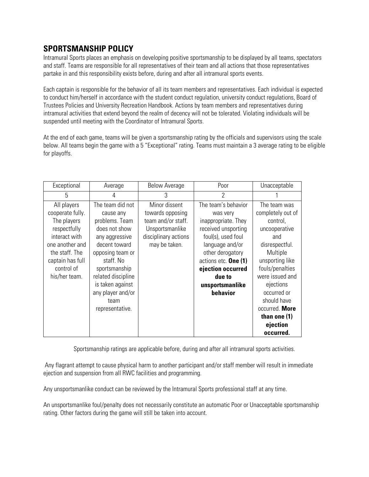## **SPORTSMANSHIP POLICY**

Intramural Sports places an emphasis on developing positive sportsmanship to be displayed by all teams, spectators and staff. Teams are responsible for all representatives of their team and all actions that those representatives partake in and this responsibility exists before, during and after all intramural sports events.

Each captain is responsible for the behavior of all its team members and representatives. Each individual is expected to conduct him/herself in accordance with the student conduct regulation, university conduct regulations, Board of Trustees Policies and University Recreation Handbook. Actions by team members and representatives during intramural activities that extend beyond the realm of decency will not be tolerated. Violating individuals will be suspended until meeting with the Coordinator of Intramural Sports.

At the end of each game, teams will be given a sportsmanship rating by the officials and supervisors using the scale below. All teams begin the game with a 5 "Exceptional" rating. Teams must maintain a 3 average rating to be eligible for playoffs.

| Exceptional                                                                                                                                                             | Average                                                                                                                                                                                                                                         | <b>Below Average</b>                                                                                                | Poor                                                                                                                                                                                                                             | Unacceptable                                                                                                                                                                                                                                                         |
|-------------------------------------------------------------------------------------------------------------------------------------------------------------------------|-------------------------------------------------------------------------------------------------------------------------------------------------------------------------------------------------------------------------------------------------|---------------------------------------------------------------------------------------------------------------------|----------------------------------------------------------------------------------------------------------------------------------------------------------------------------------------------------------------------------------|----------------------------------------------------------------------------------------------------------------------------------------------------------------------------------------------------------------------------------------------------------------------|
| 5                                                                                                                                                                       | 4                                                                                                                                                                                                                                               | 3                                                                                                                   | 2                                                                                                                                                                                                                                |                                                                                                                                                                                                                                                                      |
| All players<br>cooperate fully.<br>The players<br>respectfully<br>interact with<br>one another and<br>the staff. The<br>captain has full<br>control of<br>his/her team. | The team did not<br>cause any<br>problems. Team<br>does not show<br>any aggressive<br>decent toward<br>opposing team or<br>staff. No<br>sportsmanship<br>related discipline<br>is taken against<br>any player and/or<br>team<br>representative. | Minor dissent<br>towards opposing<br>team and/or staff.<br>Unsportsmanlike<br>disciplinary actions<br>may be taken. | The team's behavior<br>was very<br>inappropriate. They<br>received unsporting<br>foul(s), used foul<br>language and/or<br>other derogatory<br>actions etc. One (1)<br>ejection occurred<br>due to<br>unsportsmanlike<br>behavior | The team was<br>completely out of<br>control,<br>uncooperative<br>and<br>disrespectful.<br>Multiple<br>unsporting like<br>fouls/penalties<br>were issued and<br>ejections<br>occurred or<br>should have<br>occurred. More<br>than one $(1)$<br>ejection<br>occurred. |

Sportsmanship ratings are applicable before, during and after all intramural sports activities.

Any flagrant attempt to cause physical harm to another participant and/or staff member will result in immediate ejection and suspension from all RWC facilities and programming.

Any unsportsmanlike conduct can be reviewed by the Intramural Sports professional staff at any time.

An unsportsmanlike foul/penalty does not necessarily constitute an automatic Poor or Unacceptable sportsmanship rating. Other factors during the game will still be taken into account.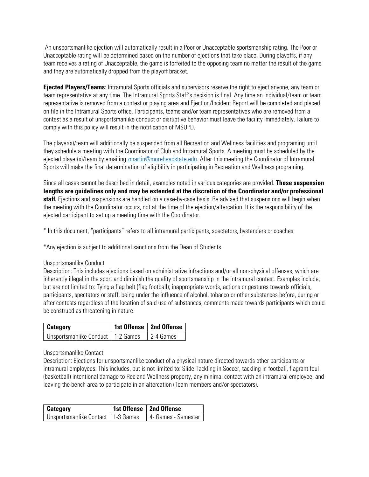An unsportsmanlike ejection will automatically result in a Poor or Unacceptable sportsmanship rating. The Poor or Unacceptable rating will be determined based on the number of ejections that take place. During playoffs, if any team receives a rating of Unacceptable, the game is forfeited to the opposing team no matter the result of the game and they are automatically dropped from the playoff bracket.

**Ejected Players/Teams**: Intramural Sports officials and supervisors reserve the right to eject anyone, any team or team representative at any time. The Intramural Sports Staff's decision is final. Any time an individual/team or team representative is removed from a contest or playing area and Ejection/Incident Report will be completed and placed on file in the Intramural Sports office. Participants, teams and/or team representatives who are removed from a contest as a result of unsportsmanlike conduct or disruptive behavior must leave the facility immediately. Failure to comply with this policy will result in the notification of MSUPD.

The player(s)/team will additionally be suspended from all Recreation and Wellness facilities and programing until they schedule a meeting with the Coordinator of Club and Intramural Sports. A meeting must be scheduled by the ejected player(s)/team by emailing zmartin@moreheadstate.edu. After this meeting the Coordinator of Intramural Sports will make the final determination of eligibility in participating in Recreation and Wellness programing.

Since all cases cannot be described in detail, examples noted in various categories are provided. **These suspension lengths are guidelines only and may be extended at the discretion of the Coordinator and/or professional staff.** Ejections and suspensions are handled on a case-by-case basis. Be advised that suspensions will begin when the meeting with the Coordinator occurs, not at the time of the ejection/altercation. It is the responsibility of the ejected participant to set up a meeting time with the Coordinator.

\* In this document, "participants" refers to all intramural participants, spectators, bystanders or coaches.

\*Any ejection is subject to additional sanctions from the Dean of Students.

#### Unsportsmanlike Conduct

Description: This includes ejections based on administrative infractions and/or all non-physical offenses, which are inherently illegal in the sport and diminish the quality of sportsmanship in the intramural contest. Examples include, but are not limited to: Tying a flag belt (flag football); inappropriate words, actions or gestures towards officials, participants, spectators or staff; being under the influence of alcohol, tobacco or other substances before, during or after contests regardless of the location of said use of substances; comments made towards participants which could be construed as threatening in nature.

| <b>Category</b>                     | 1st Offense   2nd Offense |
|-------------------------------------|---------------------------|
| Unsportsmanlike Conduct   1-2 Games | 2-4 Games                 |

#### Unsportsmanlike Contact

Description: Ejections for unsportsmanlike conduct of a physical nature directed towards other participants or intramural employees. This includes, but is not limited to: Slide Tackling in Soccer, tackling in football, flagrant foul (basketball) intentional damage to Rec and Wellness property, any minimal contact with an intramural employee, and leaving the bench area to participate in an altercation (Team members and/or spectators).

| <b>Category</b>                     | 1st Offense   2nd Offense |
|-------------------------------------|---------------------------|
| Unsportsmanlike Contact   1-3 Games | 4- Games - Semester       |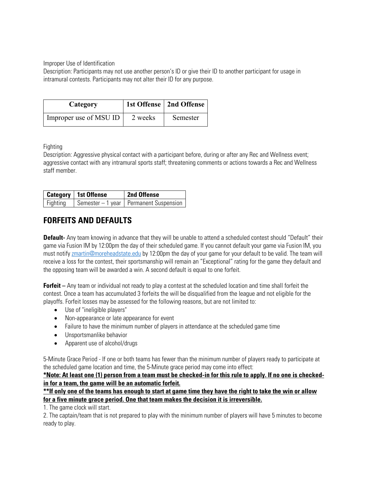Improper Use of Identification

Description: Participants may not use another person's ID or give their ID to another participant for usage in intramural contests. Participants may not alter their ID for any purpose.

| Category               |         | 1st Offense   2nd Offense |
|------------------------|---------|---------------------------|
| Improper use of MSU ID | 2 weeks | Semester                  |

Fighting

Description: Aggressive physical contact with a participant before, during or after any Rec and Wellness event; aggressive contact with any intramural sports staff; threatening comments or actions towards a Rec and Wellness staff member.

|          | Category   1st Offense | 2nd Offense                              |
|----------|------------------------|------------------------------------------|
| Fighting |                        | Semester – 1 year   Permanent Suspension |

# **FORFEITS AND DEFAULTS**

**Default-** Any team knowing in advance that they will be unable to attend a scheduled contest should "Default" their game via Fusion IM by 12:00pm the day of their scheduled game. If you cannot default your game via Fusion IM, you must notify zmartin@moreheadstate.edu by 12:00pm the day of your game for your default to be valid. The team will receive a loss for the contest, their sportsmanship will remain an "Exceptional" rating for the game they default and the opposing team will be awarded a win. A second default is equal to one forfeit.

**Forfeit –** Any team or individual not ready to play a contest at the scheduled location and time shall forfeit the contest. Once a team has accumulated 3 forfeits the will be disqualified from the league and not eligible for the playoffs. Forfeit losses may be assessed for the following reasons, but are not limited to:

- Use of "ineligible players"
- Non-appearance or late appearance for event
- Failure to have the minimum number of players in attendance at the scheduled game time
- **•** Unsportsmanlike behavior
- Apparent use of alcohol/drugs

5-Minute Grace Period - If one or both teams has fewer than the minimum number of players ready to participate at the scheduled game location and time, the 5-Minute grace period may come into effect:

**\*Note: At least one (1) person from a team must be checked-in for this rule to apply. If no one is checkedin for a team, the game will be an automatic forfeit.** 

**\*\*If only one of the teams has enough to start at game time they have the right to take the win or allow for a five minute grace period. One that team makes the decision it is irreversible.** 

1. The game clock will start.

2. The captain/team that is not prepared to play with the minimum number of players will have 5 minutes to become ready to play.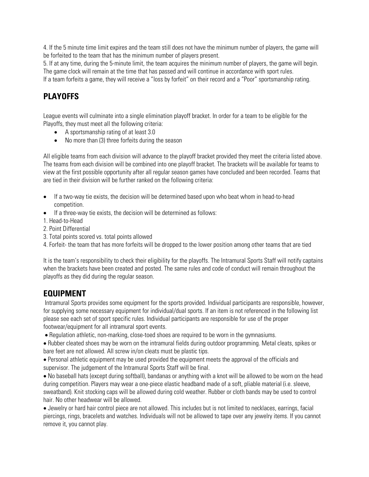4. If the 5 minute time limit expires and the team still does not have the minimum number of players, the game will be forfeited to the team that has the minimum number of players present.

5. If at any time, during the 5-minute limit, the team acquires the minimum number of players, the game will begin. The game clock will remain at the time that has passed and will continue in accordance with sport rules.

If a team forfeits a game, they will receive a "loss by forfeit" on their record and a "Poor" sportsmanship rating.

# **PLAYOFFS**

League events will culminate into a single elimination playoff bracket. In order for a team to be eligible for the Playoffs, they must meet all the following criteria:

- A sportsmanship rating of at least 3.0
- No more than (3) three forfeits during the season

All eligible teams from each division will advance to the playoff bracket provided they meet the criteria listed above. The teams from each division will be combined into one playoff bracket. The brackets will be available for teams to view at the first possible opportunity after all regular season games have concluded and been recorded. Teams that are tied in their division will be further ranked on the following criteria:

- If a two-way tie exists, the decision will be determined based upon who beat whom in head-to-head competition.
- $\bullet$  If a three-way tie exists, the decision will be determined as follows:
- 1. Head-to-Head
- 2. Point Differential
- 3. Total points scored vs. total points allowed
- 4. Forfeit- the team that has more forfeits will be dropped to the lower position among other teams that are tied

It is the team's responsibility to check their eligibility for the playoffs. The Intramural Sports Staff will notify captains when the brackets have been created and posted. The same rules and code of conduct will remain throughout the playoffs as they did during the regular season.

#### **EQUIPMENT**

 Intramural Sports provides some equipment for the sports provided. Individual participants are responsible, however, for supplying some necessary equipment for individual/dual sports. If an item is not referenced in the following list please see each set of sport specific rules. Individual participants are responsible for use of the proper footwear/equipment for all intramural sport events.

Regulation athletic, non-marking, close-toed shoes are required to be worn in the gymnasiums.

 Rubber cleated shoes may be worn on the intramural fields during outdoor programming. Metal cleats, spikes or bare feet are not allowed. All screw in/on cleats must be plastic tips.

 Personal athletic equipment may be used provided the equipment meets the approval of the officials and supervisor. The judgement of the Intramural Sports Staff will be final.

 No baseball hats (except during softball), bandanas or anything with a knot will be allowed to be worn on the head during competition. Players may wear a one-piece elastic headband made of a soft, pliable material (i.e. sleeve, sweatband). Knit stocking caps will be allowed during cold weather. Rubber or cloth bands may be used to control hair. No other headwear will be allowed.

 Jewelry or hard hair control piece are not allowed. This includes but is not limited to necklaces, earrings, facial piercings, rings, bracelets and watches. Individuals will not be allowed to tape over any jewelry items. If you cannot remove it, you cannot play.